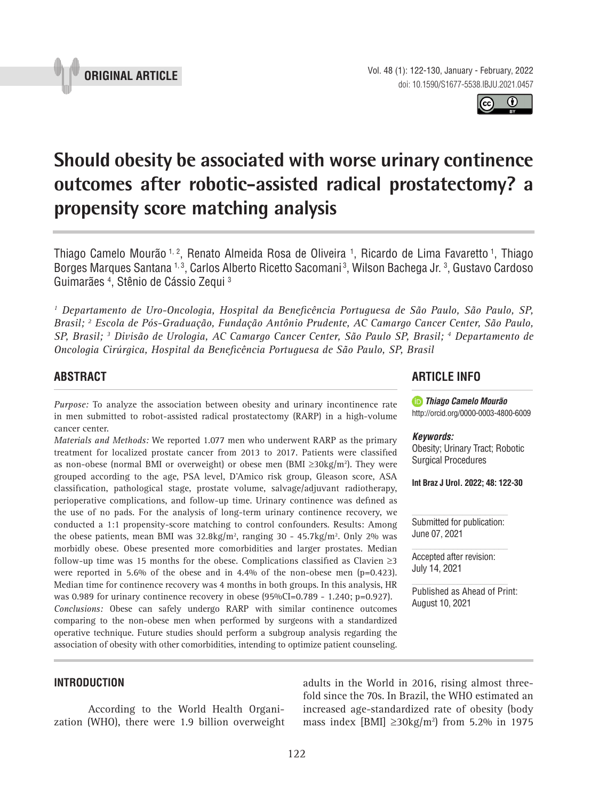

Thiago Camelo Mourão <sup>1, 2</sup>, Renato Almeida Rosa de Oliveira <sup>1</sup>, Ricardo de Lima Favaretto <sup>1</sup>, Thiago Borges Marques Santana 1,3, Carlos Alberto Ricetto Sacomani3, Wilson Bachega Jr. 3, Gustavo Cardoso .

*1 Departamento de Uro-Oncologia, Hospital da Beneficência Portuguesa de São Paulo, São Paulo, SP, Brasil; 2 Escola de Pós-Graduação, Fundação Antônio Prudente, AC Camargo Cancer Center, São Paulo, SP, Brasil; 3 Divisão de Urologia, AC Camargo Cancer Center, São Paulo SP, Brasil; 4 Departamento de Oncologia Cirúrgica, Hospital da Beneficência Portuguesa de São Paulo, SP, Brasil*

**Should obesity be associated with worse urinary continence** 

**outcomes after robotic-assisted radical prostatectomy? a** 

**\_\_\_\_\_\_\_\_\_\_\_\_\_\_\_\_\_\_\_\_\_\_\_\_\_\_\_\_\_\_\_\_\_\_\_\_\_\_\_\_\_\_\_\_\_\_\_**

# **ABSTRACT**

*Purpose:* To analyze the association between obesity and urinary incontinence rate in men submitted to robot-assisted radical prostatectomy (RARP) in a high-volume cancer center.

**propensity score matching analysis**

*Materials and Methods:* We reported 1.077 men who underwent RARP as the primary treatment for localized prostate cancer from 2013 to 2017. Patients were classified as non-obese (normal BMI or overweight) or obese men (BMI ≥30kg/m<sup>2</sup>). They were grouped according to the age, PSA level, D'Amico risk group, Gleason score, ASA classification, pathological stage, prostate volume, salvage/adjuvant radiotherapy, perioperative complications, and follow-up time. Urinary continence was defined as the use of no pads. For the analysis of long-term urinary continence recovery, we conducted a 1:1 propensity-score matching to control confounders. Results: Among the obese patients, mean BMI was  $32.8 \text{kg/m}^2$ , ranging 30 - 45.7kg/m<sup>2</sup>. Only 2% was morbidly obese. Obese presented more comorbidities and larger prostates. Median follow-up time was 15 months for the obese. Complications classified as Clavien  $\geq$ 3 were reported in 5.6% of the obese and in 4.4% of the non-obese men (p=0.423). Median time for continence recovery was 4 months in both groups. In this analysis, HR was 0.989 for urinary continence recovery in obese (95%CI=0.789 - 1.240; p=0.927). *Conclusions:* Obese can safely undergo RARP with similar continence outcomes comparing to the non-obese men when performed by surgeons with a standardized operative technique. Future studies should perform a subgroup analysis regarding the association of obesity with other comorbidities, intending to optimize patient counseling.

### **INTRODUCTION**

According to the World Health Organization (WHO), there were 1.9 billion overweight **ARTICLE INFO** 

*Thiago Camelo Mourão* http://orcid.org/0000-0003-4800-6009

*Keywords:*

Obesity; Urinary Tract; Robotic Surgical Procedures

**Int Braz J Urol. 2022; 48: 122-30**

Submitted for publication: June 07, 2021

Accepted after revision: July 14, 2021

adults in the World in 2016, rising almost threefold since the 70s. In Brazil, the WHO estimated an increased age-standardized rate of obesity (body mass index [BMI] ≥30kg/m<sup>2</sup>) from 5.2% in 1975

Published as Ahead of Print: August 10, 2021





Guimarães 4 , Stênio de Cássio Zequi 3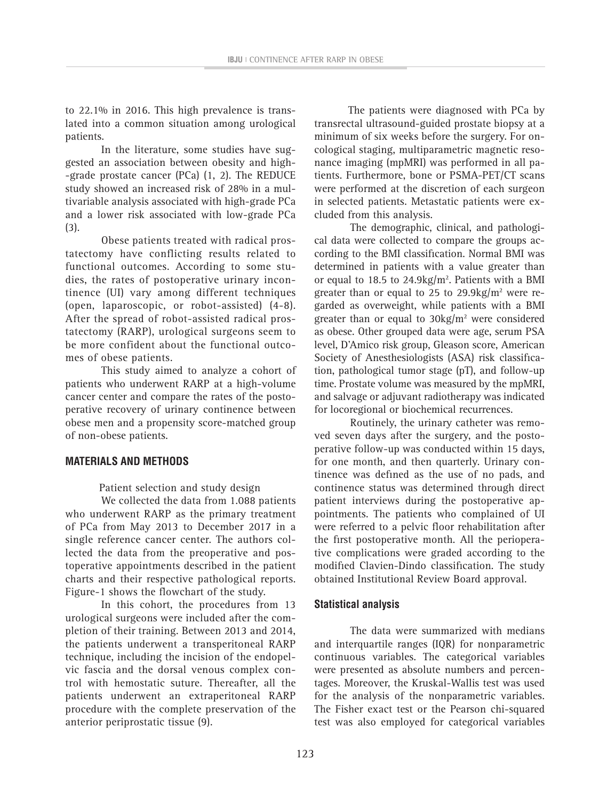**IBJU <sup>|</sup> CONTINENCE AFTER RARP IN OBESE**

to 22.1% in 2016. This high prevalence is translated into a common situation among urological patients.

In the literature, some studies have suggested an association between obesity and high- -grade prostate cancer (PCa) (1, 2). The REDUCE study showed an increased risk of 28% in a multivariable analysis associated with high-grade PCa and a lower risk associated with low-grade PCa (3).

Obese patients treated with radical prostatectomy have conflicting results related to functional outcomes. According to some studies, the rates of postoperative urinary incontinence (UI) vary among different techniques (open, laparoscopic, or robot-assisted) (4-8). After the spread of robot-assisted radical prostatectomy (RARP), urological surgeons seem to be more confident about the functional outcomes of obese patients.

This study aimed to analyze a cohort of patients who underwent RARP at a high-volume cancer center and compare the rates of the postoperative recovery of urinary continence between obese men and a propensity score-matched group of non-obese patients.

# **MATERIALS AND METHODS**

Patient selection and study design

We collected the data from 1.088 patients who underwent RARP as the primary treatment of PCa from May 2013 to December 2017 in a single reference cancer center. The authors collected the data from the preoperative and postoperative appointments described in the patient charts and their respective pathological reports. Figure-1 shows the flowchart of the study.

In this cohort, the procedures from 13 urological surgeons were included after the completion of their training. Between 2013 and 2014, the patients underwent a transperitoneal RARP technique, including the incision of the endopelvic fascia and the dorsal venous complex control with hemostatic suture. Thereafter, all the patients underwent an extraperitoneal RARP procedure with the complete preservation of the anterior periprostatic tissue (9).

The patients were diagnosed with PCa by transrectal ultrasound-guided prostate biopsy at a minimum of six weeks before the surgery. For oncological staging, multiparametric magnetic resonance imaging (mpMRI) was performed in all patients. Furthermore, bone or PSMA-PET/CT scans were performed at the discretion of each surgeon in selected patients. Metastatic patients were excluded from this analysis.

The demographic, clinical, and pathological data were collected to compare the groups according to the BMI classification. Normal BMI was determined in patients with a value greater than or equal to 18.5 to  $24.9 \text{kg/m}^2$ . Patients with a BMI greater than or equal to 25 to 29.9 kg/ $m<sup>2</sup>$  were regarded as overweight, while patients with a BMI greater than or equal to  $30\text{kg/m}^2$  were considered as obese. Other grouped data were age, serum PSA level, D'Amico risk group, Gleason score, American Society of Anesthesiologists (ASA) risk classification, pathological tumor stage (pT), and follow-up time. Prostate volume was measured by the mpMRI, and salvage or adjuvant radiotherapy was indicated for locoregional or biochemical recurrences.

Routinely, the urinary catheter was removed seven days after the surgery, and the postoperative follow-up was conducted within 15 days, for one month, and then quarterly. Urinary continence was defined as the use of no pads, and continence status was determined through direct patient interviews during the postoperative appointments. The patients who complained of UI were referred to a pelvic floor rehabilitation after the first postoperative month. All the perioperative complications were graded according to the modified Clavien-Dindo classification. The study obtained Institutional Review Board approval.

### **Statistical analysis**

The data were summarized with medians and interquartile ranges (IQR) for nonparametric continuous variables. The categorical variables were presented as absolute numbers and percentages. Moreover, the Kruskal-Wallis test was used for the analysis of the nonparametric variables. The Fisher exact test or the Pearson chi-squared test was also employed for categorical variables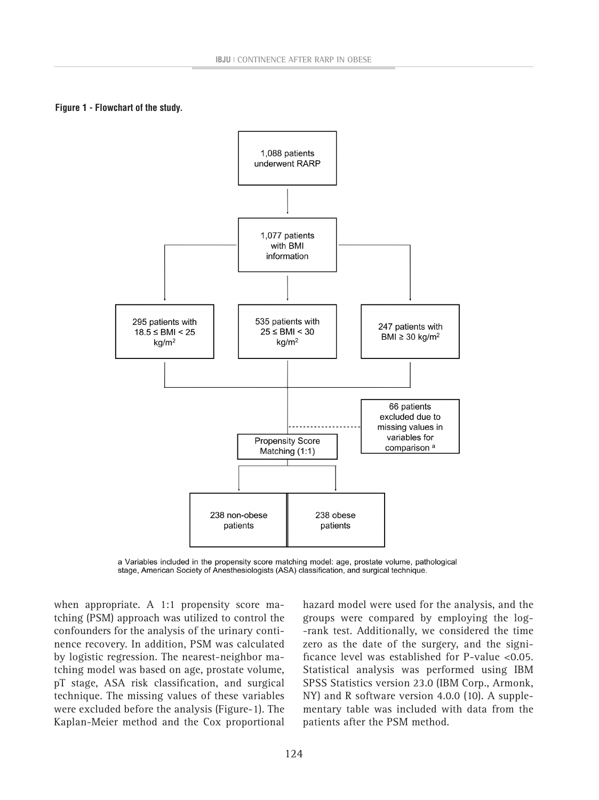**Figure 1 - Flowchart of the study.**



a Variables included in the propensity score matching model: age, prostate volume, pathological stage, American Society of Anesthesiologists (ASA) classification, and surgical technique.

when appropriate. A 1:1 propensity score matching (PSM) approach was utilized to control the confounders for the analysis of the urinary continence recovery. In addition, PSM was calculated by logistic regression. The nearest-neighbor matching model was based on age, prostate volume, pT stage, ASA risk classification, and surgical technique. The missing values of these variables were excluded before the analysis (Figure-1). The Kaplan-Meier method and the Cox proportional hazard model were used for the analysis, and the groups were compared by employing the log- -rank test. Additionally, we considered the time zero as the date of the surgery, and the significance level was established for P-value <0.05. Statistical analysis was performed using IBM SPSS Statistics version 23.0 (IBM Corp., Armonk, NY) and R software version 4.0.0 (10). A supplementary table was included with data from the patients after the PSM method.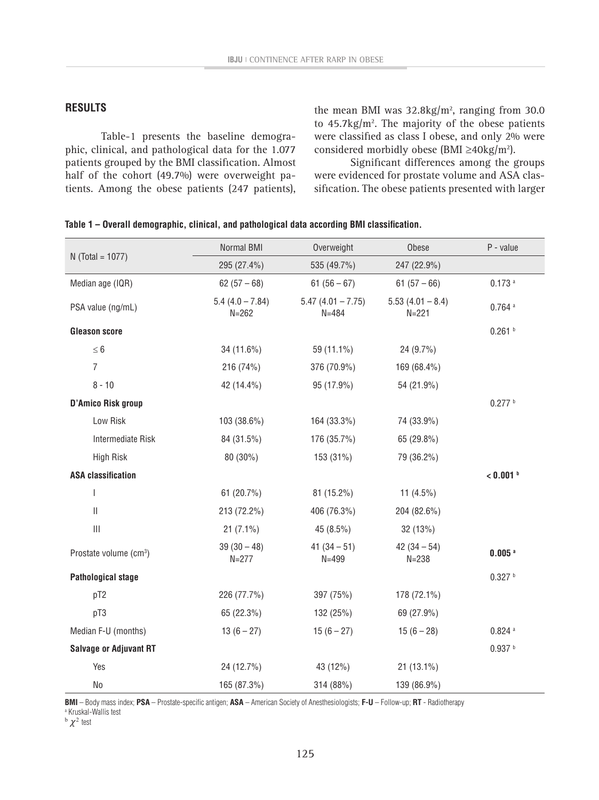### **RESULTS**

Table-1 presents the baseline demographic, clinical, and pathological data for the 1.077 patients grouped by the BMI classification. Almost half of the cohort (49.7%) were overweight patients. Among the obese patients (247 patients),

the mean BMI was  $32.8 \text{kg/m}^2$ , ranging from 30.0 to  $45.7 \text{kg/m}^2$ . The majority of the obese patients were classified as class I obese, and only 2% were considered morbidly obese (BMI ≥40kg/m<sup>2</sup>).

Significant differences among the groups were evidenced for prostate volume and ASA classification. The obese patients presented with larger

|                                       | Normal BMI                     | Overweight                       | Obese                           | P - value            |
|---------------------------------------|--------------------------------|----------------------------------|---------------------------------|----------------------|
| $N$ (Total = 1077)                    | 295 (27.4%)                    | 535 (49.7%)                      | 247 (22.9%)                     |                      |
| Median age (IQR)                      | $62(57-68)$                    | $61(56-67)$                      | $61(57-66)$                     | $0.173$ a            |
| PSA value (ng/mL)                     | $5.4(4.0 - 7.84)$<br>$N = 262$ | $5.47(4.01 - 7.75)$<br>$N = 484$ | $5.53(4.01 - 8.4)$<br>$N = 221$ | $0.764$ <sup>a</sup> |
| <b>Gleason score</b>                  |                                |                                  |                                 | 0.261h               |
| $\leq 6$                              | 34 (11.6%)                     | 59 (11.1%)                       | 24 (9.7%)                       |                      |
| $\overline{7}$                        | 216 (74%)                      | 376 (70.9%)                      | 169 (68.4%)                     |                      |
| $8 - 10$                              | 42 (14.4%)                     | 95 (17.9%)                       | 54 (21.9%)                      |                      |
| <b>D'Amico Risk group</b>             |                                |                                  |                                 | 0.277 h              |
| Low Risk                              | 103 (38.6%)                    | 164 (33.3%)                      | 74 (33.9%)                      |                      |
| <b>Intermediate Risk</b>              | 84 (31.5%)                     | 176 (35.7%)                      | 65 (29.8%)                      |                      |
| <b>High Risk</b>                      | 80 (30%)                       | 153 (31%)                        | 79 (36.2%)                      |                      |
| <b>ASA classification</b>             |                                |                                  |                                 | $< 0.001$ b          |
| $\begin{array}{c} \hline \end{array}$ | 61 (20.7%)                     | 81 (15.2%)                       | 11 $(4.5\%)$                    |                      |
| $\vert\vert$                          | 213 (72.2%)                    | 406 (76.3%)                      | 204 (82.6%)                     |                      |
| $\ensuremath{\mathsf{III}}\xspace$    | $21(7.1\%)$                    | 45 (8.5%)                        | 32 (13%)                        |                      |
| Prostate volume (cm <sup>3</sup> )    | $39(30-48)$<br>$N = 277$       | $41(34-51)$<br>$N = 499$         | $42(34-54)$<br>$N = 238$        | $0.005$ <sup>a</sup> |
| <b>Pathological stage</b>             |                                |                                  |                                 | 0.327h               |
| pT2                                   | 226 (77.7%)                    | 397 (75%)                        | 178 (72.1%)                     |                      |
| pT3                                   | 65 (22.3%)                     | 132 (25%)                        | 69 (27.9%)                      |                      |
| Median F-U (months)                   | $13(6 - 27)$                   | $15(6-27)$                       | $15(6-28)$                      | $0.824$ <sup>a</sup> |
| <b>Salvage or Adjuvant RT</b>         |                                |                                  |                                 | 0.937h               |
| Yes                                   | 24 (12.7%)                     | 43 (12%)                         | $21(13.1\%)$                    |                      |
| No                                    | 165 (87.3%)                    | 314 (88%)                        | 139 (86.9%)                     |                      |

**Table 1 – Overall demographic, clinical, and pathological data according BMI classification.**

**BMI** – Body mass index; **PSA** – Prostate-specific antigen; **ASA** – American Society of Anesthesiologists; **F-U** – Follow-up; **RT** - Radiotherapy a Kruskal-Wallis test

 $<sup>b</sup>$   $\chi^2$  test</sup>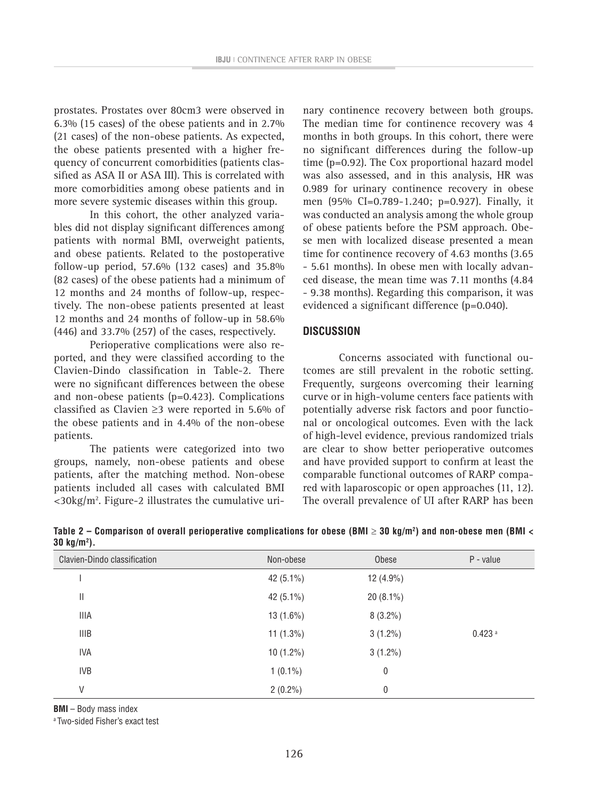prostates. Prostates over 80cm3 were observed in 6.3% (15 cases) of the obese patients and in 2.7% (21 cases) of the non-obese patients. As expected, the obese patients presented with a higher frequency of concurrent comorbidities (patients classified as ASA II or ASA III). This is correlated with more comorbidities among obese patients and in more severe systemic diseases within this group.

In this cohort, the other analyzed variables did not display significant differences among patients with normal BMI, overweight patients, and obese patients. Related to the postoperative follow-up period, 57.6% (132 cases) and 35.8% (82 cases) of the obese patients had a minimum of 12 months and 24 months of follow-up, respectively. The non-obese patients presented at least 12 months and 24 months of follow-up in 58.6% (446) and 33.7% (257) of the cases, respectively.

Perioperative complications were also reported, and they were classified according to the Clavien-Dindo classification in Table-2. There were no significant differences between the obese and non-obese patients (p=0.423). Complications classified as Clavien ≥3 were reported in 5.6% of the obese patients and in 4.4% of the non-obese patients.

The patients were categorized into two groups, namely, non-obese patients and obese patients, after the matching method. Non-obese patients included all cases with calculated BMI  $<$ 30kg/m<sup>2</sup>. Figure-2 illustrates the cumulative urinary continence recovery between both groups. The median time for continence recovery was 4 months in both groups. In this cohort, there were no significant differences during the follow-up time (p=0.92). The Cox proportional hazard model was also assessed, and in this analysis, HR was 0.989 for urinary continence recovery in obese men (95% CI=0.789-1.240; p=0.927). Finally, it was conducted an analysis among the whole group of obese patients before the PSM approach. Obese men with localized disease presented a mean time for continence recovery of 4.63 months (3.65 - 5.61 months). In obese men with locally advanced disease, the mean time was 7.11 months (4.84 - 9.38 months). Regarding this comparison, it was evidenced a significant difference (p=0.040).

#### **DISCUSSION**

Concerns associated with functional outcomes are still prevalent in the robotic setting. Frequently, surgeons overcoming their learning curve or in high-volume centers face patients with potentially adverse risk factors and poor functional or oncological outcomes. Even with the lack of high-level evidence, previous randomized trials are clear to show better perioperative outcomes and have provided support to confirm at least the comparable functional outcomes of RARP compared with laparoscopic or open approaches (11, 12). The overall prevalence of UI after RARP has been

| Clavien-Dindo classification | Non-obese    | Obese       | P - value            |
|------------------------------|--------------|-------------|----------------------|
|                              | 42 $(5.1\%)$ | 12 (4.9%)   |                      |
| Ш                            | 42 $(5.1\%)$ | $20(8.1\%)$ |                      |
| <b>IIIA</b>                  | $13(1.6\%)$  | $8(3.2\%)$  |                      |
| <b>IIIB</b>                  | $11(1.3\%)$  | $3(1.2\%)$  | $0.423$ <sup>a</sup> |
| <b>IVA</b>                   | $10(1.2\%)$  | $3(1.2\%)$  |                      |
| <b>IVB</b>                   | $1(0.1\%)$   | 0           |                      |
| V                            | $2(0.2\%)$   | 0           |                      |

**Table 2 – Comparison of overall perioperative complications for obese (BMI** ≥ **30 kg/m2 ) and non-obese men (BMI < 30 kg/m2 ).**

**BMI** – Body mass index

a Two-sided Fisher's exact test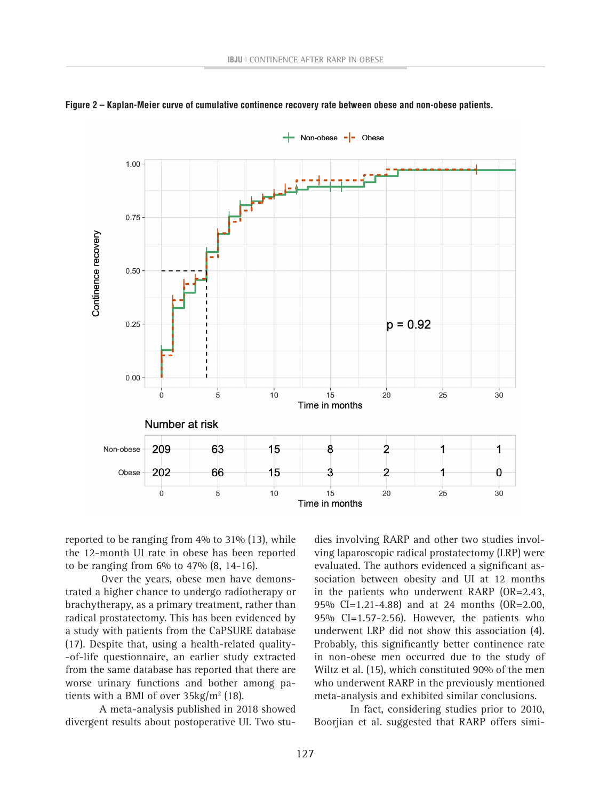

**Figure 2 – Kaplan-Meier curve of cumulative continence recovery rate between obese and non-obese patients.**

reported to be ranging from 4% to 31% (13), while the 12-month UI rate in obese has been reported to be ranging from 6% to 47% (8, 14-16).

Over the years, obese men have demonstrated a higher chance to undergo radiotherapy or brachytherapy, as a primary treatment, rather than radical prostatectomy. This has been evidenced by a study with patients from the CaPSURE database (17). Despite that, using a health-related quality- -of-life questionnaire, an earlier study extracted from the same database has reported that there are worse urinary functions and bother among patients with a BMI of over  $35\text{kg/m}^2$  (18).

A meta-analysis published in 2018 showed divergent results about postoperative UI. Two stu-

dies involving RARP and other two studies involving laparoscopic radical prostatectomy (LRP) were evaluated. The authors evidenced a significant association between obesity and UI at 12 months in the patients who underwent RARP (OR=2.43, 95% CI=1.21-4.88) and at 24 months (OR=2.00, 95% CI=1.57-2.56). However, the patients who underwent LRP did not show this association (4). Probably, this significantly better continence rate in non-obese men occurred due to the study of Wiltz et al. (15), which constituted 90% of the men who underwent RARP in the previously mentioned meta-analysis and exhibited similar conclusions.

In fact, considering studies prior to 2010, Boorjian et al. suggested that RARP offers simi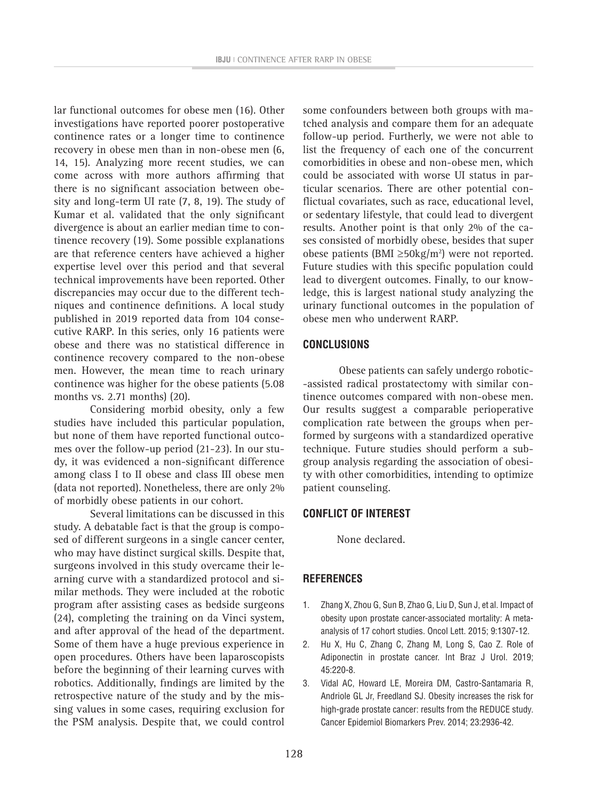lar functional outcomes for obese men (16). Other investigations have reported poorer postoperative continence rates or a longer time to continence recovery in obese men than in non-obese men (6, 14, 15). Analyzing more recent studies, we can come across with more authors affirming that there is no significant association between obesity and long-term UI rate (7, 8, 19). The study of Kumar et al. validated that the only significant divergence is about an earlier median time to continence recovery (19). Some possible explanations are that reference centers have achieved a higher expertise level over this period and that several technical improvements have been reported. Other discrepancies may occur due to the different techniques and continence definitions. A local study published in 2019 reported data from 104 consecutive RARP. In this series, only 16 patients were obese and there was no statistical difference in continence recovery compared to the non-obese men. However, the mean time to reach urinary continence was higher for the obese patients (5.08 months vs. 2.71 months) (20).

Considering morbid obesity, only a few studies have included this particular population, but none of them have reported functional outcomes over the follow-up period (21-23). In our study, it was evidenced a non-significant difference among class I to II obese and class III obese men (data not reported). Nonetheless, there are only 2% of morbidly obese patients in our cohort.

Several limitations can be discussed in this study. A debatable fact is that the group is composed of different surgeons in a single cancer center, who may have distinct surgical skills. Despite that, surgeons involved in this study overcame their learning curve with a standardized protocol and similar methods. They were included at the robotic program after assisting cases as bedside surgeons (24), completing the training on da Vinci system, and after approval of the head of the department. Some of them have a huge previous experience in open procedures. Others have been laparoscopists before the beginning of their learning curves with robotics. Additionally, findings are limited by the retrospective nature of the study and by the missing values in some cases, requiring exclusion for the PSM analysis. Despite that, we could control some confounders between both groups with matched analysis and compare them for an adequate follow-up period. Furtherly, we were not able to list the frequency of each one of the concurrent comorbidities in obese and non-obese men, which could be associated with worse UI status in particular scenarios. There are other potential conflictual covariates, such as race, educational level, or sedentary lifestyle, that could lead to divergent results. Another point is that only 2% of the cases consisted of morbidly obese, besides that super obese patients (BMI ≥50kg/m<sup>2</sup>) were not reported. Future studies with this specific population could lead to divergent outcomes. Finally, to our knowledge, this is largest national study analyzing the urinary functional outcomes in the population of obese men who underwent RARP.

### **CONCLUSIONS**

Obese patients can safely undergo robotic- -assisted radical prostatectomy with similar continence outcomes compared with non-obese men. Our results suggest a comparable perioperative complication rate between the groups when performed by surgeons with a standardized operative technique. Future studies should perform a subgroup analysis regarding the association of obesity with other comorbidities, intending to optimize patient counseling.

### **CONFLICT OF INTEREST**

None declared.

### **REFERENCES**

- 1. Zhang X, Zhou G, Sun B, Zhao G, Liu D, Sun J, et al. Impact of obesity upon prostate cancer-associated mortality: A metaanalysis of 17 cohort studies. Oncol Lett. 2015; 9:1307-12.
- 2. Hu X, Hu C, Zhang C, Zhang M, Long S, Cao Z. Role of Adiponectin in prostate cancer. Int Braz J Urol. 2019; 45:220-8.
- 3. Vidal AC, Howard LE, Moreira DM, Castro-Santamaria R, Andriole GL Jr, Freedland SJ. Obesity increases the risk for high-grade prostate cancer: results from the REDUCE study. Cancer Epidemiol Biomarkers Prev. 2014; 23:2936-42.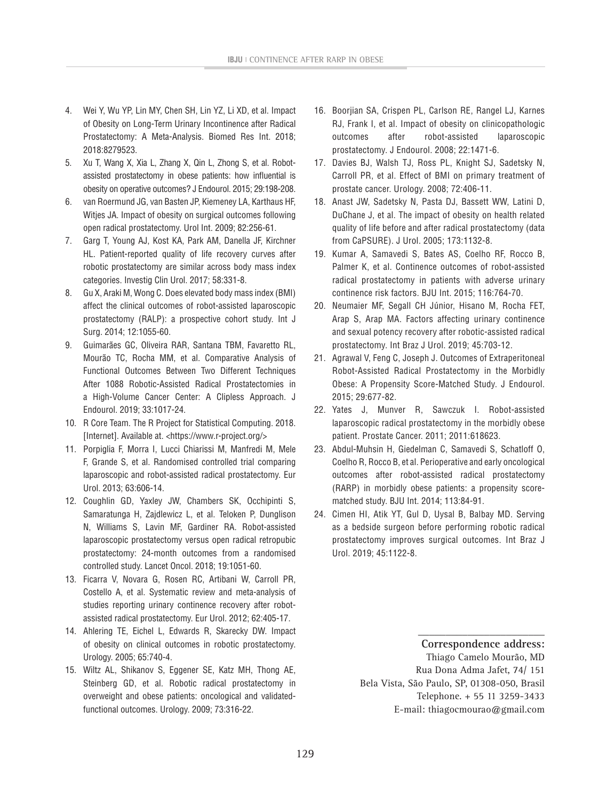- 4. Wei Y, Wu YP, Lin MY, Chen SH, Lin YZ, Li XD, et al. Impact of Obesity on Long-Term Urinary Incontinence after Radical Prostatectomy: A Meta-Analysis. Biomed Res Int. 2018; 2018:8279523.
- 5. Xu T, Wang X, Xia L, Zhang X, Qin L, Zhong S, et al. Robotassisted prostatectomy in obese patients: how influential is obesity on operative outcomes? J Endourol. 2015; 29:198-208.
- 6. van Roermund JG, van Basten JP, Kiemeney LA, Karthaus HF, Witjes JA. Impact of obesity on surgical outcomes following open radical prostatectomy. Urol Int. 2009; 82:256-61.
- 7. Garg T, Young AJ, Kost KA, Park AM, Danella JF, Kirchner HL. Patient-reported quality of life recovery curves after robotic prostatectomy are similar across body mass index categories. Investig Clin Urol. 2017; 58:331-8.
- 8. Gu X, Araki M, Wong C. Does elevated body mass index (BMI) affect the clinical outcomes of robot-assisted laparoscopic prostatectomy (RALP): a prospective cohort study. Int J Surg. 2014; 12:1055-60.
- 9. Guimarães GC, Oliveira RAR, Santana TBM, Favaretto RL, Mourão TC, Rocha MM, et al. Comparative Analysis of Functional Outcomes Between Two Different Techniques After 1088 Robotic-Assisted Radical Prostatectomies in a High-Volume Cancer Center: A Clipless Approach. J Endourol. 2019; 33:1017-24.
- 10. R Core Team. The R Project for Statistical Computing. 2018. [Internet]. Available at. <https://www.r-project.org/>
- 11. Porpiglia F, Morra I, Lucci Chiarissi M, Manfredi M, Mele F, Grande S, et al. Randomised controlled trial comparing laparoscopic and robot-assisted radical prostatectomy. Eur Urol. 2013; 63:606-14.
- 12. Coughlin GD, Yaxley JW, Chambers SK, Occhipinti S, Samaratunga H, Zajdlewicz L, et al. Teloken P, Dunglison N, Williams S, Lavin MF, Gardiner RA. Robot-assisted laparoscopic prostatectomy versus open radical retropubic prostatectomy: 24-month outcomes from a randomised controlled study. Lancet Oncol. 2018; 19:1051-60.
- 13. Ficarra V, Novara G, Rosen RC, Artibani W, Carroll PR, Costello A, et al. Systematic review and meta-analysis of studies reporting urinary continence recovery after robotassisted radical prostatectomy. Eur Urol. 2012; 62:405-17.
- 14. Ahlering TE, Eichel L, Edwards R, Skarecky DW. Impact of obesity on clinical outcomes in robotic prostatectomy. Urology. 2005; 65:740-4.
- 15. Wiltz AL, Shikanov S, Eggener SE, Katz MH, Thong AE, Steinberg GD, et al. Robotic radical prostatectomy in overweight and obese patients: oncological and validatedfunctional outcomes. Urology. 2009; 73:316-22.
- 16. Boorjian SA, Crispen PL, Carlson RE, Rangel LJ, Karnes RJ, Frank I, et al. Impact of obesity on clinicopathologic outcomes after robot-assisted laparoscopic prostatectomy. J Endourol. 2008; 22:1471-6.
- 17. Davies BJ, Walsh TJ, Ross PL, Knight SJ, Sadetsky N, Carroll PR, et al. Effect of BMI on primary treatment of prostate cancer. Urology. 2008; 72:406-11.
- 18. Anast JW, Sadetsky N, Pasta DJ, Bassett WW, Latini D, DuChane J, et al. The impact of obesity on health related quality of life before and after radical prostatectomy (data from CaPSURE). J Urol. 2005; 173:1132-8.
- 19. Kumar A, Samavedi S, Bates AS, Coelho RF, Rocco B, Palmer K, et al. Continence outcomes of robot-assisted radical prostatectomy in patients with adverse urinary continence risk factors. BJU Int. 2015; 116:764-70.
- 20. Neumaier MF, Segall CH Júnior, Hisano M, Rocha FET, Arap S, Arap MA. Factors affecting urinary continence and sexual potency recovery after robotic-assisted radical prostatectomy. Int Braz J Urol. 2019; 45:703-12.
- 21. Agrawal V, Feng C, Joseph J. Outcomes of Extraperitoneal Robot-Assisted Radical Prostatectomy in the Morbidly Obese: A Propensity Score-Matched Study. J Endourol. 2015; 29:677-82.
- 22. Yates J, Munver R, Sawczuk I. Robot-assisted laparoscopic radical prostatectomy in the morbidly obese patient. Prostate Cancer. 2011; 2011:618623.
- 23. Abdul-Muhsin H, Giedelman C, Samavedi S, Schatloff O, Coelho R, Rocco B, et al. Perioperative and early oncological outcomes after robot-assisted radical prostatectomy (RARP) in morbidly obese patients: a propensity scorematched study. BJU Int. 2014; 113:84-91.
- 24. Cimen HI, Atik YT, Gul D, Uysal B, Balbay MD. Serving as a bedside surgeon before performing robotic radical prostatectomy improves surgical outcomes. Int Braz J Urol. 2019; 45:1122-8.

**\_\_\_\_\_\_\_\_\_\_\_\_\_\_\_\_\_\_\_\_\_\_\_ Correspondence address:**

Thiago Camelo Mourão, MD Rua Dona Adma Jafet, 74/ 151 Bela Vista, São Paulo, SP, 01308-050, Brasil Telephone. + 55 11 3259-3433 E-mail: thiagocmourao@gmail.com